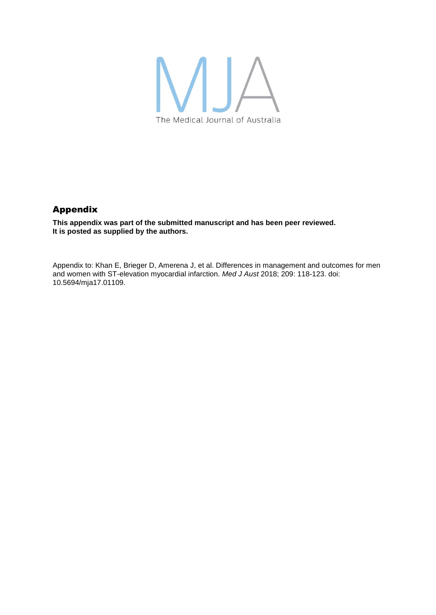

## Appendix

**This appendix was part of the submitted manuscript and has been peer reviewed. It is posted as supplied by the authors.**

Appendix to: Khan E, Brieger D, Amerena J, et al. Differences in management and outcomes for men and women with ST-elevation myocardial infarction. *Med J Aust* 2018; 209: 118-123. doi: 10.5694/mja17.01109.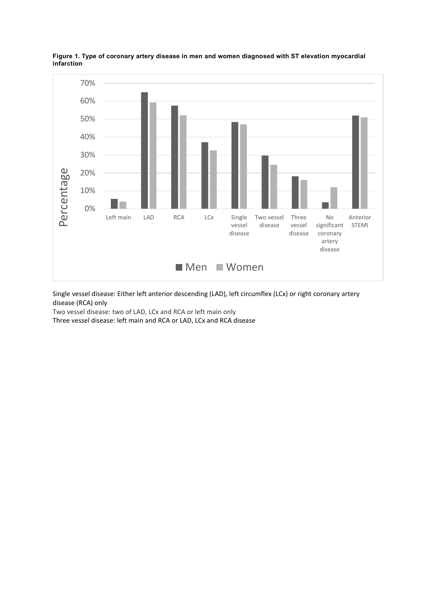

**Figure 1. Type of coronary artery disease in men and women diagnosed with ST elevation myocardial infarction** 

Single vessel disease: Either left anterior descending (LAD), left circumflex (LCx) or right coronary artery disease (RCA) only

Two vessel disease: two of LAD, LCx and RCA or left main only

Three vessel disease: left main and RCA or LAD, LCx and RCA disease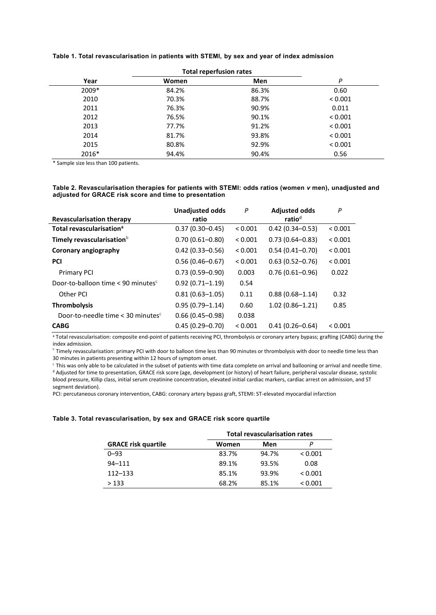|       | Total repertusion rates |       |         |
|-------|-------------------------|-------|---------|
| Year  | Women                   | Men   | P       |
| 2009* | 84.2%                   | 86.3% | 0.60    |
| 2010  | 70.3%                   | 88.7% | < 0.001 |
| 2011  | 76.3%                   | 90.9% | 0.011   |
| 2012  | 76.5%                   | 90.1% | < 0.001 |
| 2013  | 77.7%                   | 91.2% | < 0.001 |
| 2014  | 81.7%                   | 93.8% | < 0.001 |
| 2015  | 80.8%                   | 92.9% | < 0.001 |
| 2016* | 94.4%                   | 90.4% | 0.56    |

### **Table 1. Total revascularisation in patients with STEMI, by sex and year of index admission**

# **Total reperfusion rates**

\* Sample size less than 100 patients.

#### **Table 2. Revascularisation therapies for patients with STEMI: odds ratios (women** *v* **men), unadjusted and adjusted for GRACE risk score and time to presentation**

|                                                              | <b>Unadjusted odds</b> | P       | <b>Adjusted odds</b> | P       |
|--------------------------------------------------------------|------------------------|---------|----------------------|---------|
| <b>Revascularisation therapy</b>                             | ratio                  |         | ratio <sup>d</sup>   |         |
| Total revascularisation <sup>a</sup>                         | $0.37(0.30 - 0.45)$    | < 0.001 | $0.42(0.34 - 0.53)$  | < 0.001 |
| Timely revascularisation <sup>b</sup>                        | $0.70(0.61 - 0.80)$    | < 0.001 | $0.73(0.64 - 0.83)$  | < 0.001 |
| Coronary angiography                                         | $0.42(0.33 - 0.56)$    | < 0.001 | $0.54(0.41 - 0.70)$  | < 0.001 |
| <b>PCI</b>                                                   | $0.56(0.46 - 0.67)$    | < 0.001 | $0.63(0.52 - 0.76)$  | < 0.001 |
| <b>Primary PCI</b>                                           | $0.73(0.59 - 0.90)$    | 0.003   | $0.76(0.61 - 0.96)$  | 0.022   |
| Door-to-balloon time $< 90$ minutes <sup>c</sup>             | $0.92(0.71 - 1.19)$    | 0.54    |                      |         |
| Other PCI                                                    | $0.81(0.63 - 1.05)$    | 0.11    | $0.88(0.68 - 1.14)$  | 0.32    |
| <b>Thrombolysis</b>                                          | $0.95(0.79 - 1.14)$    | 0.60    | $1.02(0.86 - 1.21)$  | 0.85    |
| Door-to-needle time $<$ 30 minutes <sup><math>c</math></sup> | $0.66(0.45 - 0.98)$    | 0.038   |                      |         |
| <b>CABG</b>                                                  | $0.45(0.29 - 0.70)$    | < 0.001 | $0.41(0.26 - 0.64)$  | < 0.001 |

a Total revascularisation: composite end-point of patients receiving PCI, thrombolysis or coronary artery bypass; grafting (CABG) during the index admission.

b Timely revascularisation: primary PCI with door to balloon time less than 90 minutes or thrombolysis with door to needle time less than 30 minutes in patients presenting within 12 hours of symptom onset.

<sup>c</sup> This was only able to be calculated in the subset of patients with time data complete on arrival and ballooning or arrival and needle time. <sup>d</sup> Adjusted for time to presentation, GRACE risk score (age, development (or history) of heart failure, peripheral vascular disease, systolic blood pressure, Killip class, initial serum creatinine concentration, elevated initial cardiac markers, cardiac arrest on admission, and ST segment deviation).

PCI: percutaneous coronary intervention, CABG: coronary artery bypass graft, STEMI: ST-elevated myocardial infarction

#### **Table 3. Total revascularisation, by sex and GRACE risk score quartile**

|                            | <b>Total revascularisation rates</b> |       |         |
|----------------------------|--------------------------------------|-------|---------|
| <b>GRACE risk quartile</b> | Women                                | Men   | Р       |
| $0 - 93$                   | 83.7%                                | 94.7% | < 0.001 |
| $94 - 111$                 | 89.1%                                | 93.5% | 0.08    |
| $112 - 133$                | 85.1%                                | 93.9% | < 0.001 |
| >133                       | 68.2%                                | 85.1% | < 0.001 |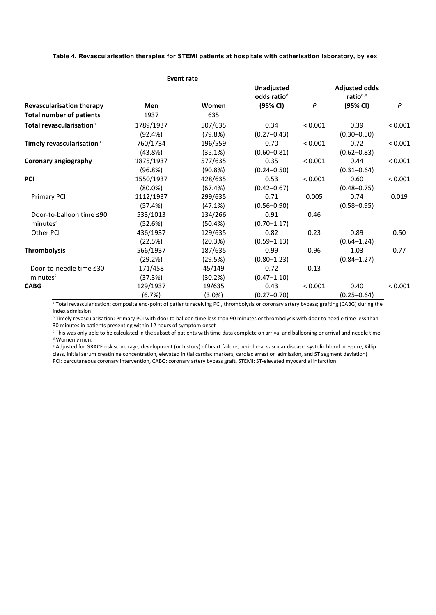**Table 4. Revascularisation therapies for STEMI patients at hospitals with catherisation laboratory, by sex**

|                                       | <b>Event rate</b> |         |                                       |         |                                              |         |
|---------------------------------------|-------------------|---------|---------------------------------------|---------|----------------------------------------------|---------|
|                                       |                   |         | Unadjusted<br>odds ratio <sup>d</sup> |         | <b>Adjusted odds</b><br>ratio <sup>d,e</sup> |         |
| <b>Revascularisation therapy</b>      | <b>Men</b>        | Women   | (95% CI)                              | P       | (95% CI)                                     | P       |
| <b>Total number of patients</b>       | 1937              | 635     |                                       |         |                                              |         |
| Total revascularisation <sup>a</sup>  | 1789/1937         | 507/635 | 0.34                                  | < 0.001 | 0.39                                         | < 0.001 |
|                                       | (92.4%)           | (79.8%) | $(0.27 - 0.43)$                       |         | $(0.30 - 0.50)$                              |         |
| Timely revascularisation <sup>b</sup> | 760/1734          | 196/559 | 0.70                                  | < 0.001 | 0.72                                         | < 0.001 |
|                                       | (43.8%)           | (35.1%) | $(0.60 - 0.81)$                       |         | $(0.62 - 0.83)$                              |         |
| <b>Coronary angiography</b>           | 1875/1937         | 577/635 | 0.35                                  | < 0.001 | 0.44                                         | < 0.001 |
|                                       | (96.8%)           | (90.8%) | $(0.24 - 0.50)$                       |         | $(0.31 - 0.64)$                              |         |
| <b>PCI</b>                            | 1550/1937         | 428/635 | 0.53                                  | < 0.001 | 0.60                                         | < 0.001 |
|                                       | $(80.0\%)$        | (67.4%) | $(0.42 - 0.67)$                       |         | $(0.48 - 0.75)$                              |         |
| <b>Primary PCI</b>                    | 1112/1937         | 299/635 | 0.71                                  | 0.005   | 0.74                                         | 0.019   |
|                                       | (57.4%)           | (47.1%) | $(0.56 - 0.90)$                       |         | $(0.58 - 0.95)$                              |         |
| Door-to-balloon time ≤90              | 533/1013          | 134/266 | 0.91                                  | 0.46    |                                              |         |
| minutes <sup>c</sup>                  | (52.6%)           | (50.4%) | $(0.70 - 1.17)$                       |         |                                              |         |
| Other PCI                             | 436/1937          | 129/635 | 0.82                                  | 0.23    | 0.89                                         | 0.50    |
|                                       | (22.5%)           | (20.3%) | $(0.59 - 1.13)$                       |         | $(0.64 - 1.24)$                              |         |
| <b>Thrombolysis</b>                   | 566/1937          | 187/635 | 0.99                                  | 0.96    | 1.03                                         | 0.77    |
|                                       | (29.2%)           | (29.5%) | $(0.80 - 1.23)$                       |         | $(0.84 - 1.27)$                              |         |
| Door-to-needle time ≤30               | 171/458           | 45/149  | 0.72                                  | 0.13    |                                              |         |
| minutes <sup>c</sup>                  | (37.3%)           | (30.2%) | $(0.47 - 1.10)$                       |         |                                              |         |
| <b>CABG</b>                           | 129/1937          | 19/635  | 0.43                                  | < 0.001 | 0.40                                         | < 0.001 |
|                                       | (6.7%)            | (3.0%)  | $(0.27 - 0.70)$                       |         | $(0.25 - 0.64)$                              |         |

a Total revascularisation: composite end-point of patients receiving PCI, thrombolysis or coronary artery bypass; grafting (CABG) during the index admission

**b Timely revascularisation: Primary PCI with door to balloon time less than 90 minutes or thrombolysis with door to needle time less than** 30 minutes in patients presenting within 12 hours of symptom onset

<sup>c</sup> This was only able to be calculated in the subset of patients with time data complete on arrival and ballooning or arrival and needle time <sup>d</sup> Women *v* men.

<sup>e</sup> Adjusted for GRACE risk score (age, development (or history) of heart failure, peripheral vascular disease, systolic blood pressure, Killip class, initial serum creatinine concentration, elevated initial cardiac markers, cardiac arrest on admission, and ST segment deviation) PCI: percutaneous coronary intervention, CABG: coronary artery bypass graft, STEMI: ST-elevated myocardial infarction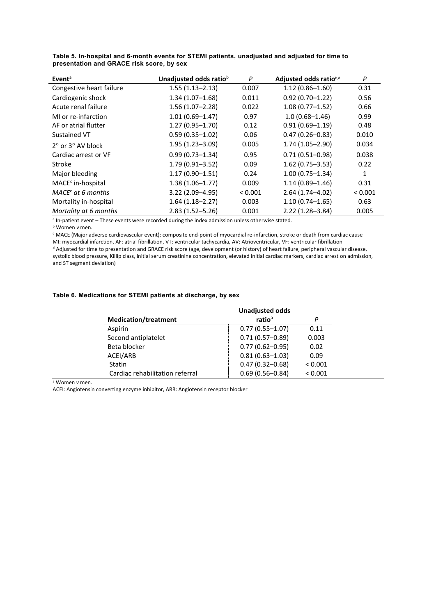| Event <sup>a</sup>                  | Unadjusted odds ratiob | P       | Adjusted odds ratiob,d | P       |
|-------------------------------------|------------------------|---------|------------------------|---------|
| Congestive heart failure            | $1.55(1.13 - 2.13)$    | 0.007   | $1.12(0.86 - 1.60)$    | 0.31    |
| Cardiogenic shock                   | $1.34(1.07-1.68)$      | 0.011   | $0.92(0.70 - 1.22)$    | 0.56    |
| Acute renal failure                 | $1.56(1.07-2.28)$      | 0.022   | $1.08(0.77 - 1.52)$    | 0.66    |
| MI or re-infarction                 | $1.01(0.69 - 1.47)$    | 0.97    | $1.0(0.68 - 1.46)$     | 0.99    |
| AF or atrial flutter                | $1.27(0.95 - 1.70)$    | 0.12    | $0.91(0.69 - 1.19)$    | 0.48    |
| Sustained VT                        | $0.59(0.35 - 1.02)$    | 0.06    | $0.47(0.26 - 0.83)$    | 0.010   |
| $2^{\circ}$ or $3^{\circ}$ AV block | $1.95(1.23 - 3.09)$    | 0.005   | $1.74(1.05 - 2.90)$    | 0.034   |
| Cardiac arrest or VF                | $0.99(0.73 - 1.34)$    | 0.95    | $0.71(0.51 - 0.98)$    | 0.038   |
| Stroke                              | $1.79(0.91 - 3.52)$    | 0.09    | $1.62(0.75 - 3.53)$    | 0.22    |
| Major bleeding                      | $1.17(0.90 - 1.51)$    | 0.24    | $1.00(0.75 - 1.34)$    | 1       |
| $MACEc$ in-hospital                 | $1.38(1.06 - 1.77)$    | 0.009   | $1.14(0.89 - 1.46)$    | 0.31    |
| $MACEc$ at 6 months                 | $3.22(2.09 - 4.95)$    | < 0.001 | $2.64(1.74 - 4.02)$    | < 0.001 |
| Mortality in-hospital               | $1.64(1.18-2.27)$      | 0.003   | $1.10(0.74 - 1.65)$    | 0.63    |
| Mortality at 6 months               | $2.83(1.52 - 5.26)$    | 0.001   | $2.22(1.28 - 3.84)$    | 0.005   |

**Table 5. In-hospital and 6-month events for STEMI patients, unadjusted and adjusted for time to presentation and GRACE risk score, by sex**

<sup>a</sup> In-patient event – These events were recorded during the index admission unless otherwise stated.

<sup>b</sup> Women *v* men.

<sup>c</sup> MACE (Major adverse cardiovascular event): composite end-point of myocardial re-infarction, stroke or death from cardiac cause MI: myocardial infarction, AF: atrial fibrillation, VT: ventricular tachycardia, AV: Atrioventricular, VF: ventricular fibrillation

<sup>d</sup> Adjusted for time to presentation and GRACE risk score (age, development (or history) of heart failure, peripheral vascular disease, systolic blood pressure, Killip class, initial serum creatinine concentration, elevated initial cardiac markers, cardiac arrest on admission, and ST segment deviation)

#### **Table 6. Medications for STEMI patients at discharge, by sex**

|                                 | <b>Unadjusted odds</b> |         |  |
|---------------------------------|------------------------|---------|--|
| <b>Medication/treatment</b>     | ratio <sup>a</sup>     | P       |  |
| Aspirin                         | $0.77(0.55 - 1.07)$    | 0.11    |  |
| Second antiplatelet             | $0.71(0.57 - 0.89)$    | 0.003   |  |
| Beta blocker                    | $0.77(0.62 - 0.95)$    | 0.02    |  |
| ACEI/ARB                        | $0.81(0.63 - 1.03)$    | 0.09    |  |
| Statin                          | $0.47(0.32 - 0.68)$    | < 0.001 |  |
| Cardiac rehabilitation referral | $0.69(0.56 - 0.84)$    | < 0.001 |  |

<sup>a</sup> Women *v* men.

ACEI: Angiotensin converting enzyme inhibitor, ARB: Angiotensin receptor blocker